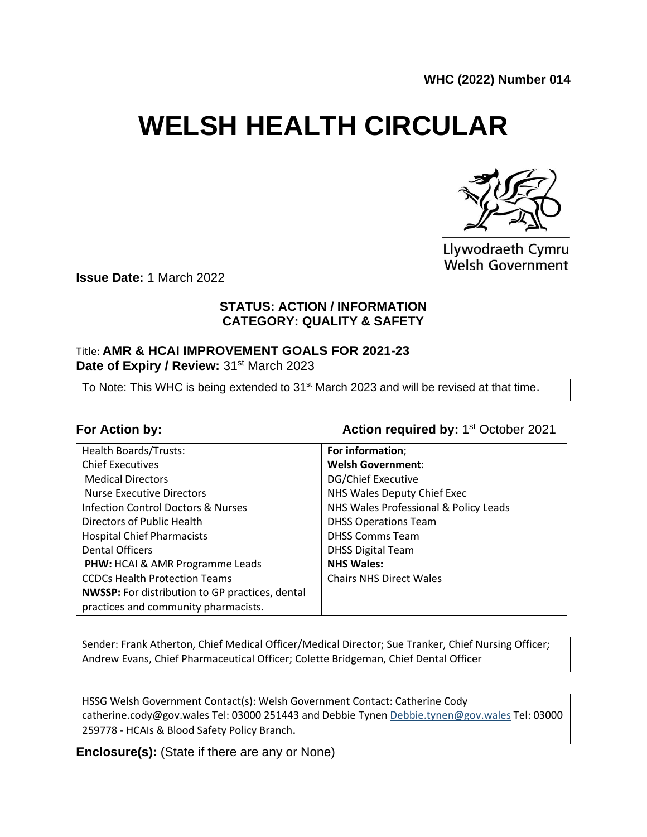**WHC (2022) Number 014**

# **WELSH HEALTH CIRCULAR**



Llywodraeth Cymru **Welsh Government** 

**Issue Date:** 1 March 2022

#### **STATUS: ACTION / INFORMATION CATEGORY: QUALITY & SAFETY**

#### Title: **AMR & HCAI IMPROVEMENT GOALS FOR 2021-23 Date of Expiry / Review: 31st March 2023**

To Note: This WHC is being extended to 31<sup>st</sup> March 2023 and will be revised at that time.

#### **For Action by: Action required by:** 1<sup>st</sup> October 2021

| <b>Health Boards/Trusts:</b>                    | For information;                      |
|-------------------------------------------------|---------------------------------------|
| <b>Chief Executives</b>                         | <b>Welsh Government:</b>              |
| <b>Medical Directors</b>                        | DG/Chief Executive                    |
| <b>Nurse Executive Directors</b>                | NHS Wales Deputy Chief Exec           |
| Infection Control Doctors & Nurses              | NHS Wales Professional & Policy Leads |
| Directors of Public Health                      | <b>DHSS Operations Team</b>           |
| <b>Hospital Chief Pharmacists</b>               | <b>DHSS Comms Team</b>                |
| <b>Dental Officers</b>                          | <b>DHSS Digital Team</b>              |
| <b>PHW: HCAI &amp; AMR Programme Leads</b>      | <b>NHS Wales:</b>                     |
| <b>CCDCs Health Protection Teams</b>            | <b>Chairs NHS Direct Wales</b>        |
| NWSSP: For distribution to GP practices, dental |                                       |
| practices and community pharmacists.            |                                       |

Sender: Frank Atherton, Chief Medical Officer/Medical Director; Sue Tranker, Chief Nursing Officer; Andrew Evans, Chief Pharmaceutical Officer; Colette Bridgeman, Chief Dental Officer

HSSG Welsh Government Contact(s): Welsh Government Contact: Catherine Cody catherine.cody@gov.wales Tel: 03000 251443 and Debbie Tynen [Debbie.tynen@gov.wales](mailto:Debbie.tynen@gov.wales) Tel: 03000 259778 - HCAIs & Blood Safety Policy Branch.

**Enclosure(s):** (State if there are any or None)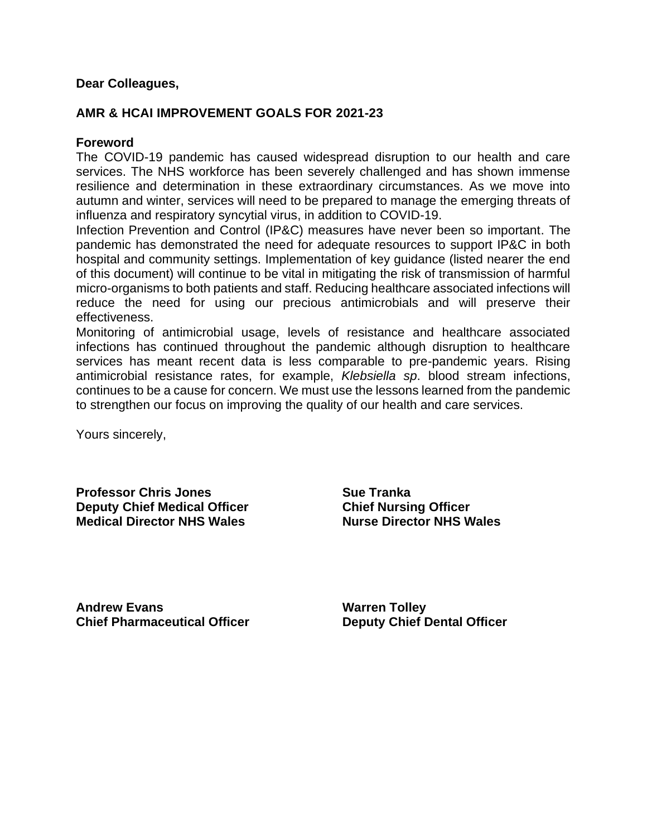#### **Dear Colleagues,**

#### **AMR & HCAI IMPROVEMENT GOALS FOR 2021-23**

#### **Foreword**

The COVID-19 pandemic has caused widespread disruption to our health and care services. The NHS workforce has been severely challenged and has shown immense resilience and determination in these extraordinary circumstances. As we move into autumn and winter, services will need to be prepared to manage the emerging threats of influenza and respiratory syncytial virus, in addition to COVID-19.

Infection Prevention and Control (IP&C) measures have never been so important. The pandemic has demonstrated the need for adequate resources to support IP&C in both hospital and community settings. Implementation of key guidance (listed nearer the end of this document) will continue to be vital in mitigating the risk of transmission of harmful micro-organisms to both patients and staff. Reducing healthcare associated infections will reduce the need for using our precious antimicrobials and will preserve their effectiveness.

Monitoring of antimicrobial usage, levels of resistance and healthcare associated infections has continued throughout the pandemic although disruption to healthcare services has meant recent data is less comparable to pre-pandemic years. Rising antimicrobial resistance rates, for example, *Klebsiella sp*. blood stream infections, continues to be a cause for concern. We must use the lessons learned from the pandemic to strengthen our focus on improving the quality of our health and care services.

Yours sincerely,

**Professor Chris Jones** Sue Tranka **Deputy Chief Medical Officer Chief Nursing Officer Medical Director NHS Wales Nurse Director NHS Wales**

Andrew Evans **Warren Tolley Chief Pharmaceutical Officer Deputy Chief Dental Officer**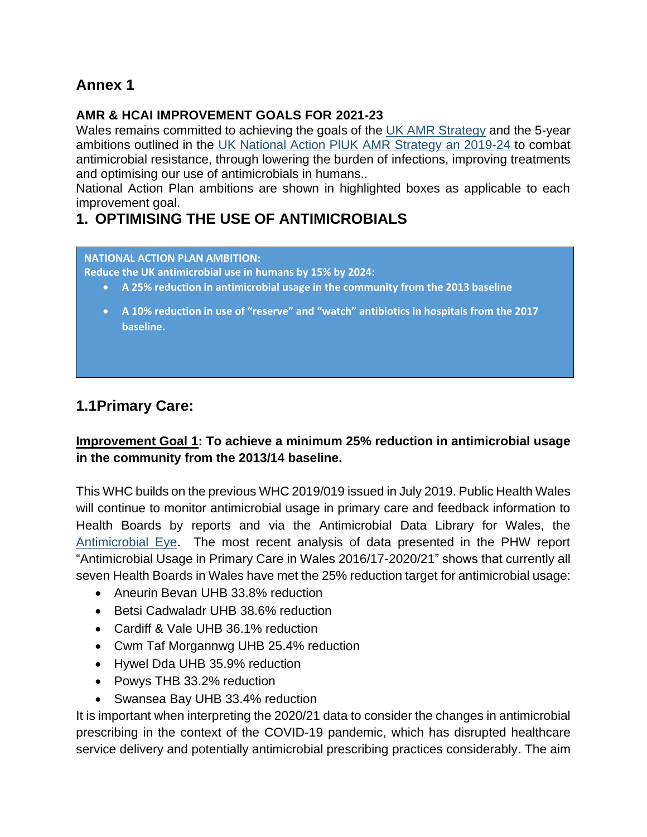# **Annex 1**

#### **AMR & HCAI IMPROVEMENT GOALS FOR 2021-23**

Wales remains committed to achieving the goals of the [UK AMR Strategy](https://assets.publishing.service.gov.uk/government/uploads/system/uploads/attachment_data/file/773065/uk-20-year-vision-for-antimicrobial-resistance.pdf) and the 5-year ambitions outlined in the [UK National Action PlUK AMR Strategy an 2019-24](https://www.gov.uk/government/publications/uk-5-year-action-plan-for-antimicrobial-resistance-2019-to-2024) to combat antimicrobial resistance, through lowering the burden of infections, improving treatments and optimising our use of antimicrobials in humans..

National Action Plan ambitions are shown in highlighted boxes as applicable to each improvement goal.

# **1. OPTIMISING THE USE OF ANTIMICROBIALS**

#### **NATIONAL ACTION PLAN AMBITION:**

**Reduce the UK antimicrobial use in humans by 15% by 2024:**

- **A 25% reduction in antimicrobial usage in the community from the 2013 baseline**
- **A 10% reduction in use of "reserve" and "watch" antibiotics in hospitals from the 2017 baseline.**

# **1.1Primary Care:**

#### **Improvement Goal 1: To achieve a minimum 25% reduction in antimicrobial usage in the community from the 2013/14 baseline.**

This WHC builds on the previous WHC 2019/019 issued in July 2019. Public Health Wales will continue to monitor antimicrobial usage in primary care and feedback information to Health Boards by reports and via the Antimicrobial Data Library for Wales, the [Antimicrobial Eye.](https://antibioticeye.cymru.nhs.uk/) The most recent analysis of data presented in the PHW report "Antimicrobial Usage in Primary Care in Wales 2016/17-2020/21" shows that currently all seven Health Boards in Wales have met the 25% reduction target for antimicrobial usage:

- Aneurin Bevan UHB 33.8% reduction
- Betsi Cadwaladr UHB 38.6% reduction
- Cardiff & Vale UHB 36.1% reduction
- Cwm Taf Morgannwg UHB 25.4% reduction
- Hywel Dda UHB 35.9% reduction
- Powys THB 33.2% reduction
- Swansea Bay UHB 33.4% reduction

It is important when interpreting the 2020/21 data to consider the changes in antimicrobial prescribing in the context of the COVID-19 pandemic, which has disrupted healthcare service delivery and potentially antimicrobial prescribing practices considerably. The aim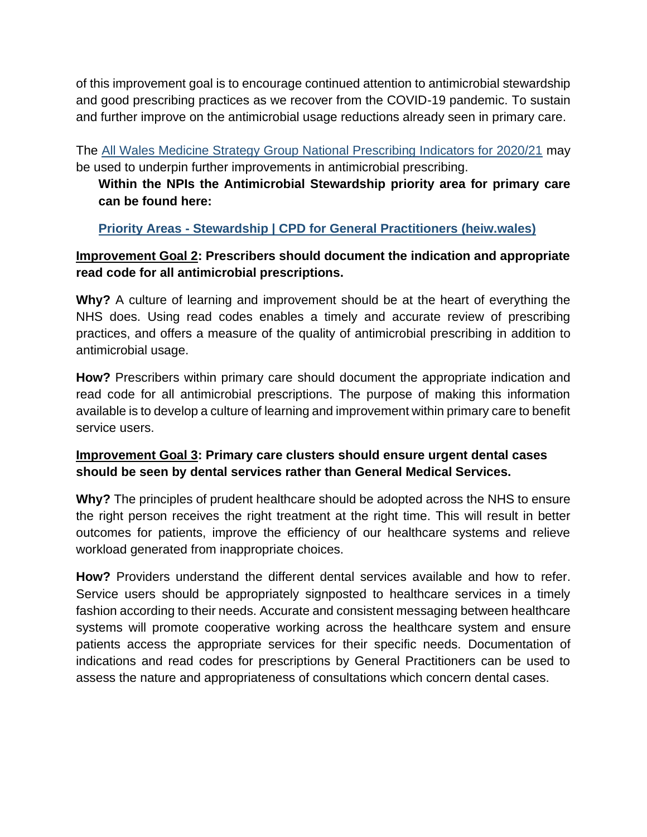of this improvement goal is to encourage continued attention to antimicrobial stewardship and good prescribing practices as we recover from the COVID-19 pandemic. To sustain and further improve on the antimicrobial usage reductions already seen in primary care.

The [All Wales Medicine Strategy Group National Prescribing Indicators for 2020/21](https://gpcpd.heiw.wales/clinical/all-wales-national-prescribing-indicators-20-21/) may be used to underpin further improvements in antimicrobial prescribing.

**Within the NPIs the Antimicrobial Stewardship priority area for primary care can be found here:**

**Priority Areas - [Stewardship | CPD for General Practitioners \(heiw.wales\)](https://gpcpd.heiw.wales/clinical/all-wales-national-prescribing-indicators-20-21/priority-areas-stewardship/)**

#### **Improvement Goal 2: Prescribers should document the indication and appropriate read code for all antimicrobial prescriptions.**

**Why?** A culture of learning and improvement should be at the heart of everything the NHS does. Using read codes enables a timely and accurate review of prescribing practices, and offers a measure of the quality of antimicrobial prescribing in addition to antimicrobial usage.

**How?** Prescribers within primary care should document the appropriate indication and read code for all antimicrobial prescriptions. The purpose of making this information available is to develop a culture of learning and improvement within primary care to benefit service users.

#### **Improvement Goal 3: Primary care clusters should ensure urgent dental cases should be seen by dental services rather than General Medical Services.**

**Why?** The principles of prudent healthcare should be adopted across the NHS to ensure the right person receives the right treatment at the right time. This will result in better outcomes for patients, improve the efficiency of our healthcare systems and relieve workload generated from inappropriate choices.

**How?** Providers understand the different dental services available and how to refer. Service users should be appropriately signposted to healthcare services in a timely fashion according to their needs. Accurate and consistent messaging between healthcare systems will promote cooperative working across the healthcare system and ensure patients access the appropriate services for their specific needs. Documentation of indications and read codes for prescriptions by General Practitioners can be used to assess the nature and appropriateness of consultations which concern dental cases.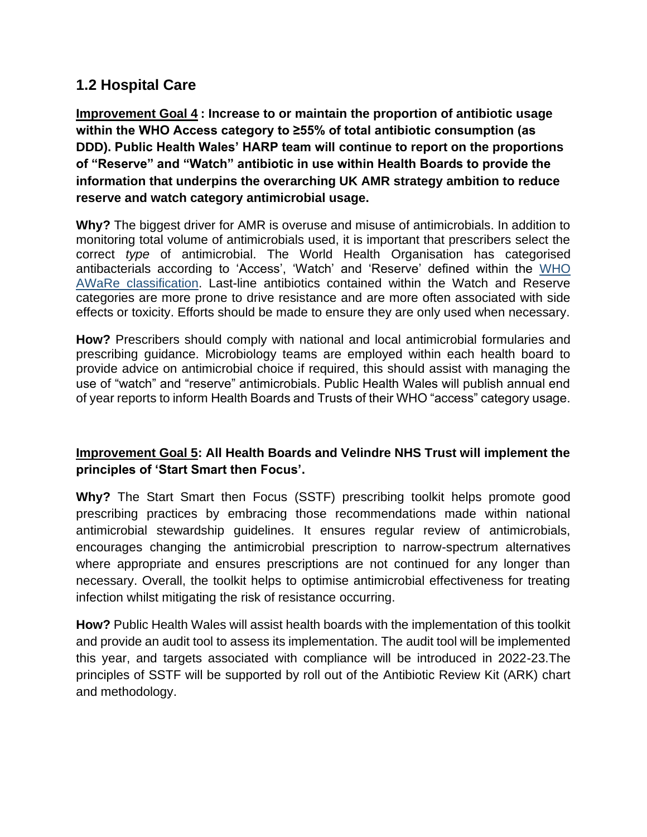# **1.2 Hospital Care**

**Improvement Goal 4 : Increase to or maintain the proportion of antibiotic usage within the WHO Access category to ≥55% of total antibiotic consumption (as DDD). Public Health Wales' HARP team will continue to report on the proportions of "Reserve" and "Watch" antibiotic in use within Health Boards to provide the information that underpins the overarching UK AMR strategy ambition to reduce reserve and watch category antimicrobial usage.**

**Why?** The biggest driver for AMR is overuse and misuse of antimicrobials. In addition to monitoring total volume of antimicrobials used, it is important that prescribers select the correct *type* of antimicrobial. The World Health Organisation has categorised antibacterials according to 'Access', 'Watch' and 'Reserve' defined within the [WHO](https://www.who.int/publications/i/item/WHOEMPIAU2019.11)  [AWaRe classification.](https://www.who.int/publications/i/item/WHOEMPIAU2019.11) Last-line antibiotics contained within the Watch and Reserve categories are more prone to drive resistance and are more often associated with side effects or toxicity. Efforts should be made to ensure they are only used when necessary.

**How?** Prescribers should comply with national and local antimicrobial formularies and prescribing guidance. Microbiology teams are employed within each health board to provide advice on antimicrobial choice if required, this should assist with managing the use of "watch" and "reserve" antimicrobials. Public Health Wales will publish annual end of year reports to inform Health Boards and Trusts of their WHO "access" category usage.

#### **Improvement Goal 5: All Health Boards and Velindre NHS Trust will implement the principles of 'Start Smart then Focus'.**

**Why?** The Start Smart then Focus (SSTF) prescribing toolkit helps promote good prescribing practices by embracing those recommendations made within national antimicrobial stewardship guidelines. It ensures regular review of antimicrobials, encourages changing the antimicrobial prescription to narrow-spectrum alternatives where appropriate and ensures prescriptions are not continued for any longer than necessary. Overall, the toolkit helps to optimise antimicrobial effectiveness for treating infection whilst mitigating the risk of resistance occurring.

**How?** Public Health Wales will assist health boards with the implementation of this toolkit and provide an audit tool to assess its implementation. The audit tool will be implemented this year, and targets associated with compliance will be introduced in 2022-23.The principles of SSTF will be supported by roll out of the Antibiotic Review Kit (ARK) chart and methodology.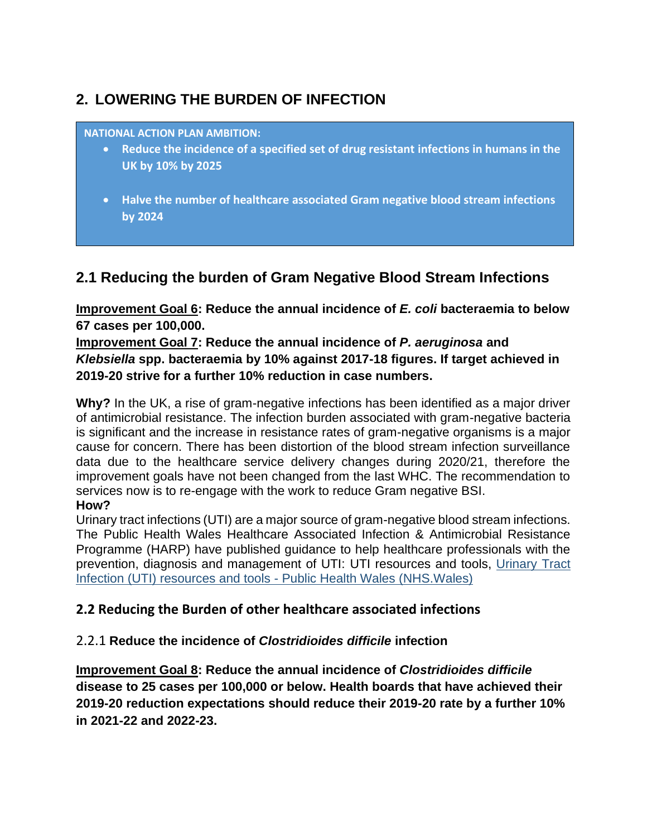# **2. LOWERING THE BURDEN OF INFECTION**

#### **NATIONAL ACTION PLAN AMBITION:**

- **Reduce the incidence of a specified set of drug resistant infections in humans in the UK by 10% by 2025**
- **Halve the number of healthcare associated Gram negative blood stream infections by 2024**

# **2.1 Reducing the burden of Gram Negative Blood Stream Infections**

**Improvement Goal 6: Reduce the annual incidence of** *E. coli* **bacteraemia to below 67 cases per 100,000.**

**Improvement Goal 7: Reduce the annual incidence of** *P. aeruginosa* **and**  *Klebsiella* **spp. bacteraemia by 10% against 2017-18 figures. If target achieved in 2019-20 strive for a further 10% reduction in case numbers.**

**Why?** In the UK, a rise of gram-negative infections has been identified as a major driver of antimicrobial resistance. The infection burden associated with gram-negative bacteria is significant and the increase in resistance rates of gram-negative organisms is a major cause for concern. There has been distortion of the blood stream infection surveillance data due to the healthcare service delivery changes during 2020/21, therefore the improvement goals have not been changed from the last WHC. The recommendation to services now is to re-engage with the work to reduce Gram negative BSI. **How?**

Urinary tract infections (UTI) are a major source of gram-negative blood stream infections. The Public Health Wales Healthcare Associated Infection & Antimicrobial Resistance Programme (HARP) have published guidance to help healthcare professionals with the prevention, diagnosis and management of UTI: UTI resources and tools, [Urinary Tract](https://phw.nhs.wales/services-and-teams/harp/urinary-tract-infection-uti-resources-and-tools/)  [Infection \(UTI\) resources and tools -](https://phw.nhs.wales/services-and-teams/harp/urinary-tract-infection-uti-resources-and-tools/) Public Health Wales (NHS.Wales)

### **2.2 Reducing the Burden of other healthcare associated infections**

#### 2.2.1 **Reduce the incidence of** *Clostridioides difficile* **infection**

**Improvement Goal 8: Reduce the annual incidence of** *Clostridioides difficile* **disease to 25 cases per 100,000 or below. Health boards that have achieved their 2019-20 reduction expectations should reduce their 2019-20 rate by a further 10% in 2021-22 and 2022-23.**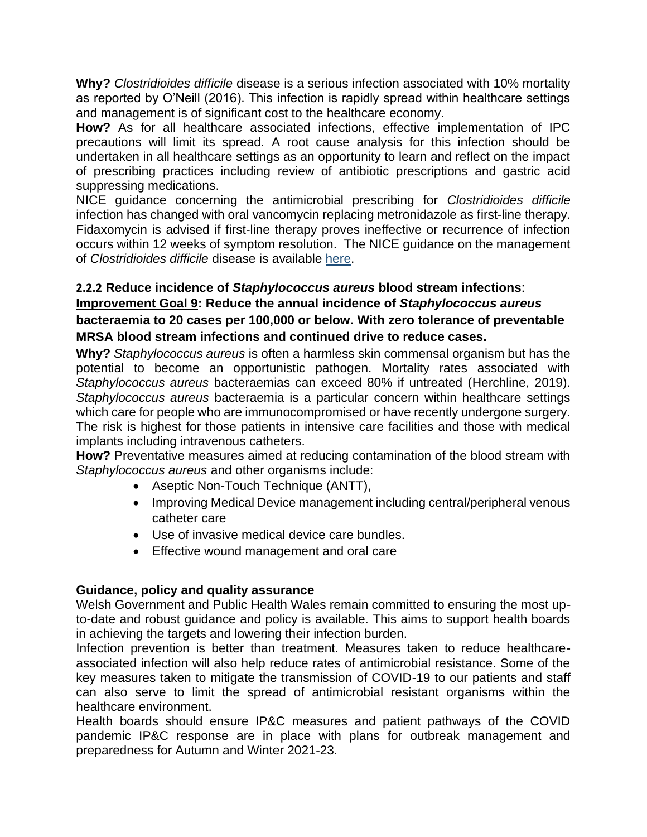**Why?** *Clostridioides difficile* disease is a serious infection associated with 10% mortality as reported by O'Neill (2016). This infection is rapidly spread within healthcare settings and management is of significant cost to the healthcare economy.

**How?** As for all healthcare associated infections, effective implementation of IPC precautions will limit its spread. A root cause analysis for this infection should be undertaken in all healthcare settings as an opportunity to learn and reflect on the impact of prescribing practices including review of antibiotic prescriptions and gastric acid suppressing medications.

NICE guidance concerning the antimicrobial prescribing for *Clostridioides difficile* infection has changed with oral vancomycin replacing metronidazole as first-line therapy. Fidaxomycin is advised if first-line therapy proves ineffective or recurrence of infection occurs within 12 weeks of symptom resolution. The NICE guidance on the management of *Clostridioides difficile* disease is available [here.](https://www.nice.org.uk/guidance/ng199)

#### **2.2.2 Reduce incidence of** *Staphylococcus aureus* **blood stream infections**: **Improvement Goal 9: Reduce the annual incidence of** *Staphylococcus aureus* **bacteraemia to 20 cases per 100,000 or below. With zero tolerance of preventable MRSA blood stream infections and continued drive to reduce cases.**

**Why?** *Staphylococcus aureus* is often a harmless skin commensal organism but has the potential to become an opportunistic pathogen. Mortality rates associated with *Staphylococcus aureus* bacteraemias can exceed 80% if untreated (Herchline, 2019). *Staphylococcus aureus* bacteraemia is a particular concern within healthcare settings which care for people who are immunocompromised or have recently undergone surgery. The risk is highest for those patients in intensive care facilities and those with medical implants including intravenous catheters.

**How?** Preventative measures aimed at reducing contamination of the blood stream with *Staphylococcus aureus* and other organisms include:

- Aseptic Non-Touch Technique (ANTT),
- Improving Medical Device management including central/peripheral venous catheter care
- Use of invasive medical device care bundles.
- Effective wound management and oral care

#### **Guidance, policy and quality assurance**

Welsh Government and Public Health Wales remain committed to ensuring the most upto-date and robust guidance and policy is available. This aims to support health boards in achieving the targets and lowering their infection burden.

Infection prevention is better than treatment. Measures taken to reduce healthcareassociated infection will also help reduce rates of antimicrobial resistance. Some of the key measures taken to mitigate the transmission of COVID-19 to our patients and staff can also serve to limit the spread of antimicrobial resistant organisms within the healthcare environment.

Health boards should ensure IP&C measures and patient pathways of the COVID pandemic IP&C response are in place with plans for outbreak management and preparedness for Autumn and Winter 2021-23.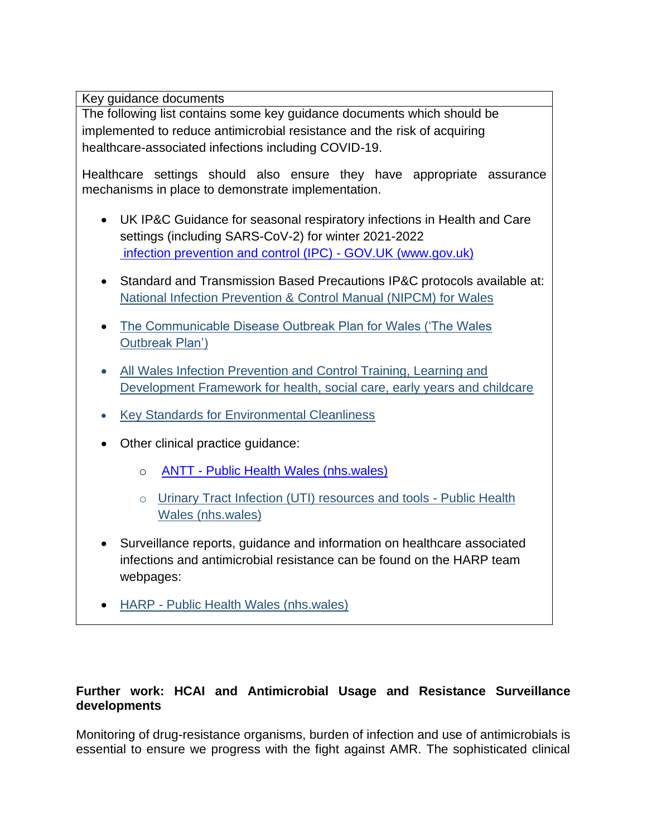Key guidance documents

The following list contains some key guidance documents which should be implemented to reduce antimicrobial resistance and the risk of acquiring healthcare-associated infections including COVID-19.

Healthcare settings should also ensure they have appropriate assurance mechanisms in place to demonstrate implementation.

- UK IP&C Guidance for seasonal respiratory infections in Health and Care settings (including SARS-CoV-2) for winter 2021-2022 [infection prevention and control \(IPC\) -](https://www.gov.uk/government/publications/wuhan-novel-coronavirus-infection-prevention-and-control) GOV.UK (www.gov.uk)
- Standard and Transmission Based Precautions IP&C protocols available at: [National Infection Prevention & Control Manual \(NIPCM\) for Wales](https://phw.nhs.wales/services-and-teams/harp/infection-prevention-and-control/nipcm/)
- [The Communicable Disease Outbreak Plan for Wales \('The Wales](https://phw.nhs.wales/topics/latest-information-on-novel-coronavirus-covid-19/the-communicable-disease-outbreak-plan-for-wales/)  [Outbreak Plan'\)](https://phw.nhs.wales/topics/latest-information-on-novel-coronavirus-covid-19/the-communicable-disease-outbreak-plan-for-wales/)
- [All Wales Infection Prevention and Control Training, Learning and](https://heiw.nhs.wales/files/ipc-framework-final-nbsp/)  [Development Framework for health, social care, early years and childcare](https://heiw.nhs.wales/files/ipc-framework-final-nbsp/)
- [Key Standards for Environmental Cleanliness](https://phw.nhs.wales/topics/latest-information-on-novel-coronavirus-covid-19/information-for-health-and-social-care/addendum-key-standards-for-environmental-cleanliness/)
- Other clinical practice guidance:
	- o ANTT [Public Health Wales \(nhs.wales\)](https://phw.nhs.wales/services-and-teams/harp/infection-prevention-and-control/antt/)
	- o Urinary [Tract Infection \(UTI\) resources and tools -](https://phw.nhs.wales/services-and-teams/harp/urinary-tract-infection-uti-resources-and-tools/) Public Health [Wales \(nhs.wales\)](https://phw.nhs.wales/services-and-teams/harp/urinary-tract-infection-uti-resources-and-tools/)
- Surveillance reports, guidance and information on healthcare associated infections and antimicrobial resistance can be found on the HARP team webpages:
- **HARP [Public Health Wales \(nhs.wales\)](https://phw.nhs.wales/services-and-teams/harp/)**

#### **Further work: HCAI and Antimicrobial Usage and Resistance Surveillance developments**

Monitoring of drug-resistance organisms, burden of infection and use of antimicrobials is essential to ensure we progress with the fight against AMR. The sophisticated clinical